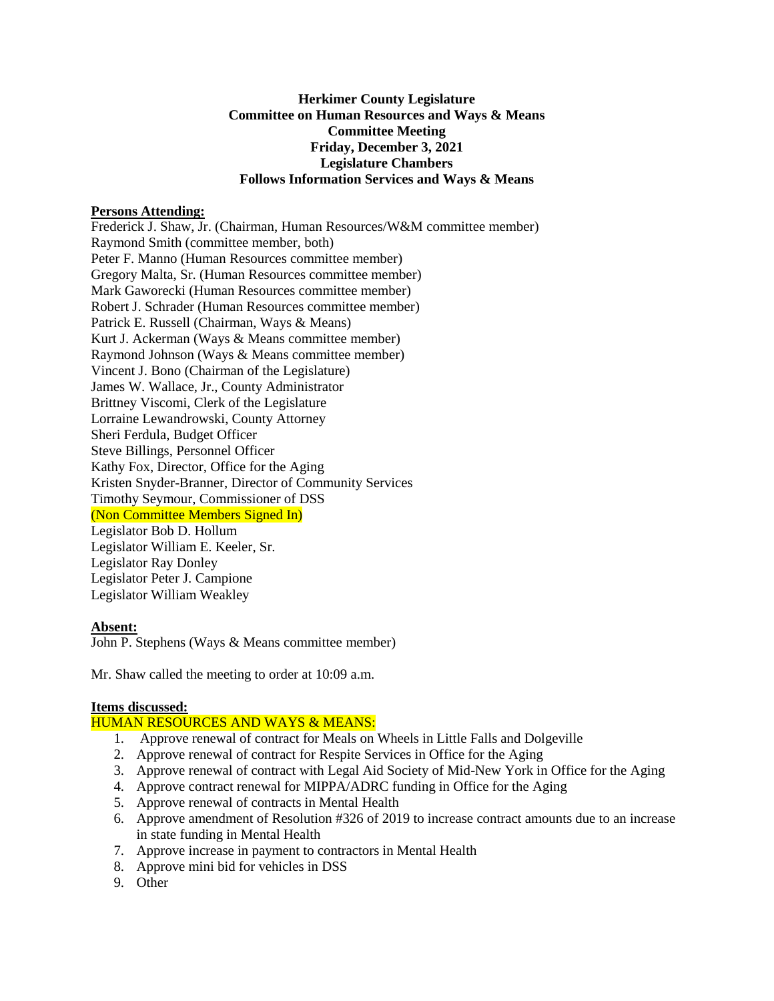## **Herkimer County Legislature Committee on Human Resources and Ways & Means Committee Meeting Friday, December 3, 2021 Legislature Chambers Follows Information Services and Ways & Means**

#### **Persons Attending:**

Frederick J. Shaw, Jr. (Chairman, Human Resources/W&M committee member) Raymond Smith (committee member, both) Peter F. Manno (Human Resources committee member) Gregory Malta, Sr. (Human Resources committee member) Mark Gaworecki (Human Resources committee member) Robert J. Schrader (Human Resources committee member) Patrick E. Russell (Chairman, Ways & Means) Kurt J. Ackerman (Ways & Means committee member) Raymond Johnson (Ways & Means committee member) Vincent J. Bono (Chairman of the Legislature) James W. Wallace, Jr., County Administrator Brittney Viscomi, Clerk of the Legislature Lorraine Lewandrowski, County Attorney Sheri Ferdula, Budget Officer Steve Billings, Personnel Officer Kathy Fox, Director, Office for the Aging Kristen Snyder-Branner, Director of Community Services Timothy Seymour, Commissioner of DSS (Non Committee Members Signed In) Legislator Bob D. Hollum Legislator William E. Keeler, Sr. Legislator Ray Donley Legislator Peter J. Campione Legislator William Weakley

#### **Absent:**

John P. Stephens (Ways & Means committee member)

Mr. Shaw called the meeting to order at 10:09 a.m.

#### **Items discussed:**

# HUMAN RESOURCES AND WAYS & MEANS:

- 1. Approve renewal of contract for Meals on Wheels in Little Falls and Dolgeville
- 2. Approve renewal of contract for Respite Services in Office for the Aging
- 3. Approve renewal of contract with Legal Aid Society of Mid-New York in Office for the Aging
- 4. Approve contract renewal for MIPPA/ADRC funding in Office for the Aging
- 5. Approve renewal of contracts in Mental Health
- 6. Approve amendment of Resolution #326 of 2019 to increase contract amounts due to an increase in state funding in Mental Health
- 7. Approve increase in payment to contractors in Mental Health
- 8. Approve mini bid for vehicles in DSS
- 9. Other